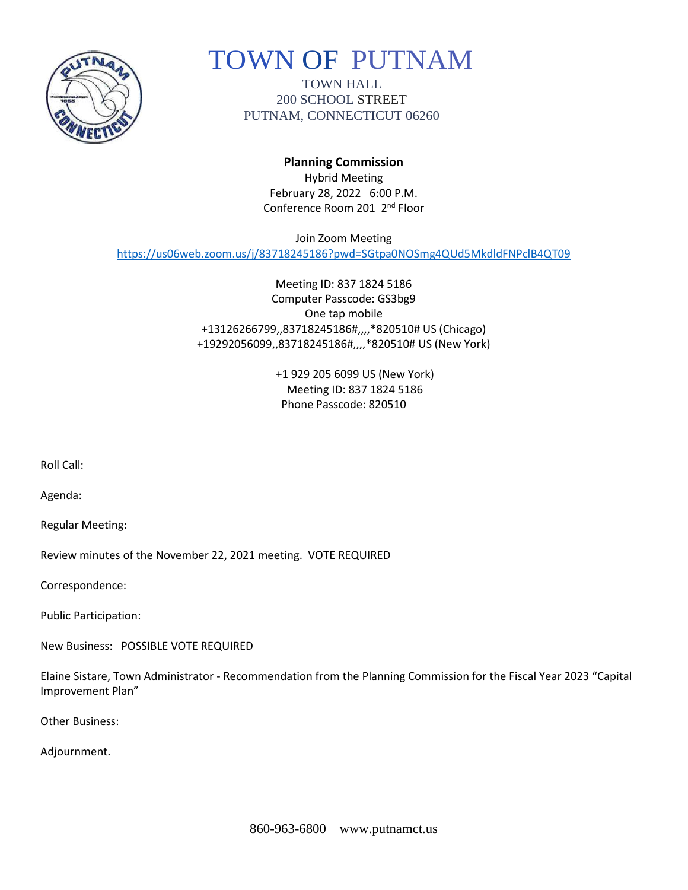

# TOWN OF PUTNAM

TOWN HALL 200 SCHOOL STREET PUTNAM, CONNECTICUT 06260

## **Planning Commission**

Hybrid Meeting February 28, 2022 6:00 P.M. Conference Room 201 2nd Floor

Join Zoom Meeting <https://us06web.zoom.us/j/83718245186?pwd=SGtpa0NOSmg4QUd5MkdldFNPclB4QT09>

> Meeting ID: 837 1824 5186 Computer Passcode: GS3bg9 One tap mobile +13126266799,,83718245186#,,,,\*820510# US (Chicago) +19292056099,,83718245186#,,,,\*820510# US (New York)

> > +1 929 205 6099 US (New York) Meeting ID: 837 1824 5186 Phone Passcode: 820510

Roll Call:

Agenda:

Regular Meeting:

Review minutes of the November 22, 2021 meeting. VOTE REQUIRED

Correspondence:

Public Participation:

New Business: POSSIBLE VOTE REQUIRED

Elaine Sistare, Town Administrator - Recommendation from the Planning Commission for the Fiscal Year 2023 "Capital Improvement Plan"

Other Business:

Adjournment.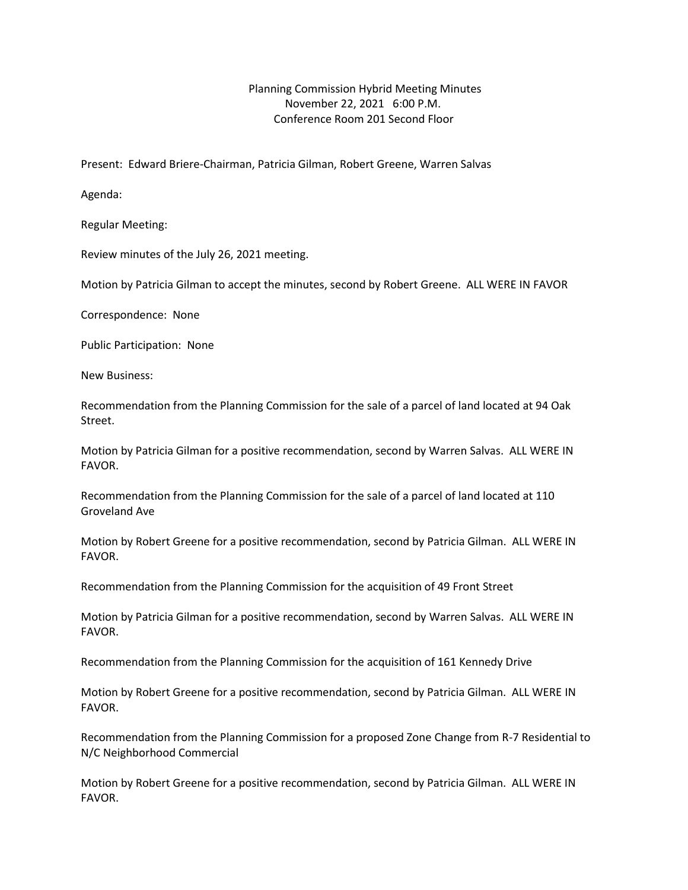Planning Commission Hybrid Meeting Minutes November 22, 2021 6:00 P.M. Conference Room 201 Second Floor

Present: Edward Briere-Chairman, Patricia Gilman, Robert Greene, Warren Salvas

Agenda:

Regular Meeting:

Review minutes of the July 26, 2021 meeting.

Motion by Patricia Gilman to accept the minutes, second by Robert Greene. ALL WERE IN FAVOR

Correspondence: None

Public Participation: None

New Business:

Recommendation from the Planning Commission for the sale of a parcel of land located at 94 Oak Street.

Motion by Patricia Gilman for a positive recommendation, second by Warren Salvas. ALL WERE IN FAVOR.

Recommendation from the Planning Commission for the sale of a parcel of land located at 110 Groveland Ave

Motion by Robert Greene for a positive recommendation, second by Patricia Gilman. ALL WERE IN FAVOR.

Recommendation from the Planning Commission for the acquisition of 49 Front Street

Motion by Patricia Gilman for a positive recommendation, second by Warren Salvas. ALL WERE IN FAVOR.

Recommendation from the Planning Commission for the acquisition of 161 Kennedy Drive

Motion by Robert Greene for a positive recommendation, second by Patricia Gilman. ALL WERE IN FAVOR.

Recommendation from the Planning Commission for a proposed Zone Change from R-7 Residential to N/C Neighborhood Commercial

Motion by Robert Greene for a positive recommendation, second by Patricia Gilman. ALL WERE IN FAVOR.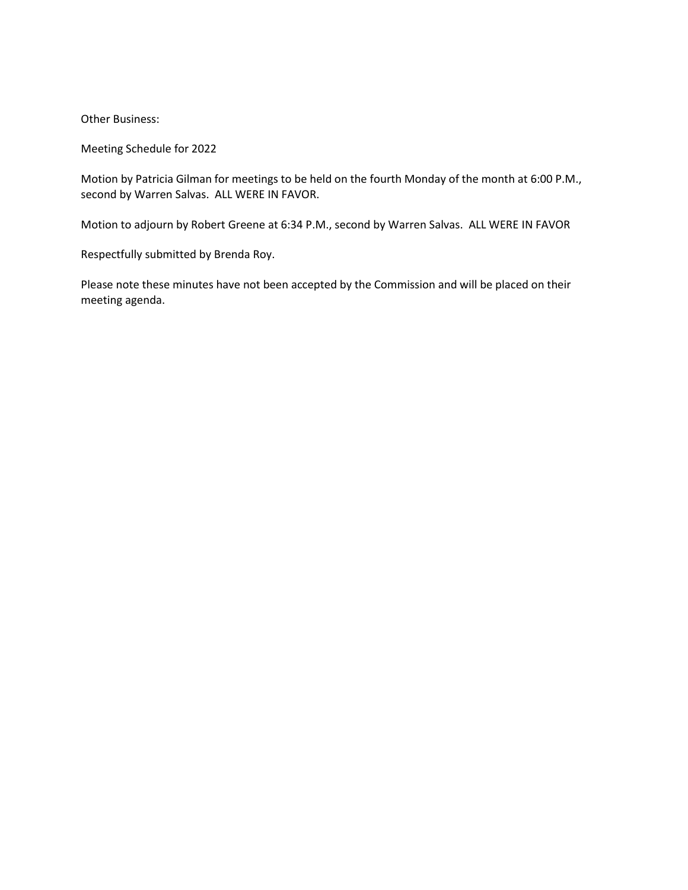Other Business:

Meeting Schedule for 2022

Motion by Patricia Gilman for meetings to be held on the fourth Monday of the month at 6:00 P.M., second by Warren Salvas. ALL WERE IN FAVOR.

Motion to adjourn by Robert Greene at 6:34 P.M., second by Warren Salvas. ALL WERE IN FAVOR

Respectfully submitted by Brenda Roy.

Please note these minutes have not been accepted by the Commission and will be placed on their meeting agenda.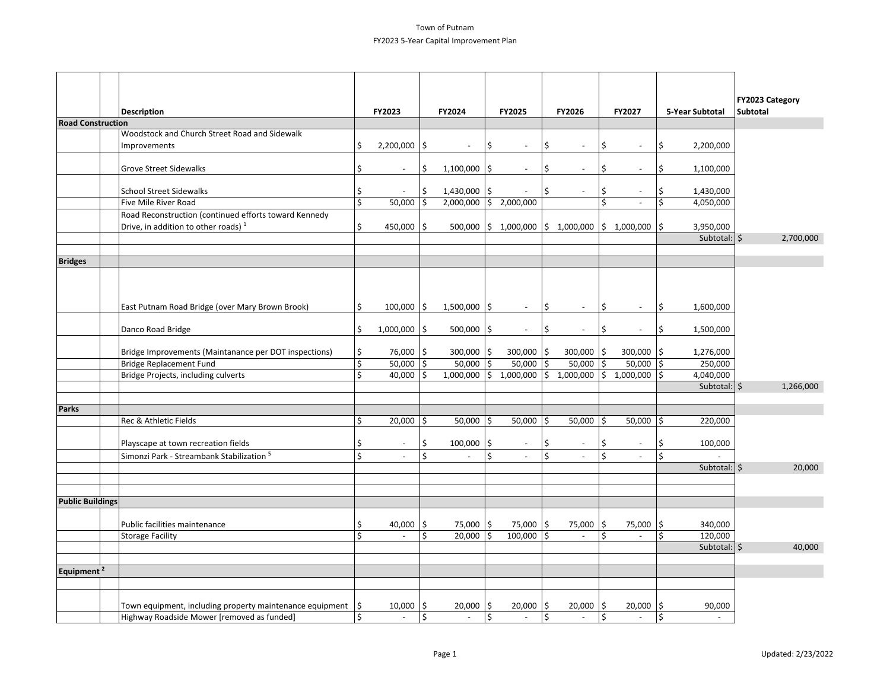#### Town of Putnam FY2023 5-Year Capital Improvement Plan

|                          |                                                          |                        |     |                          |      |                |    |                                                         |     |                          |     |                                | FY2023 Category |
|--------------------------|----------------------------------------------------------|------------------------|-----|--------------------------|------|----------------|----|---------------------------------------------------------|-----|--------------------------|-----|--------------------------------|-----------------|
|                          | <b>Description</b>                                       | FY2023                 |     | FY2024                   |      | <b>FY2025</b>  |    | FY2026                                                  |     | FY2027                   |     | 5-Year Subtotal                | <b>Subtotal</b> |
| <b>Road Construction</b> | Woodstock and Church Street Road and Sidewalk            |                        |     |                          |      |                |    |                                                         |     |                          |     |                                |                 |
|                          |                                                          |                        | ۱ś  |                          |      |                |    |                                                         |     |                          |     |                                |                 |
|                          | Improvements                                             | \$<br>2,200,000        |     |                          | \$   |                | Ś  |                                                         | \$  |                          | \$  | 2,200,000                      |                 |
|                          | <b>Grove Street Sidewalks</b>                            | \$                     | \$  | $1,100,000$   \$         |      | $\sim$         | \$ | $\sim$                                                  | \$  |                          | \$  | 1,100,000                      |                 |
|                          |                                                          |                        |     |                          |      |                |    |                                                         |     |                          |     |                                |                 |
|                          | <b>School Street Sidewalks</b>                           | \$                     | \$  | $1,430,000$   \$         |      |                | \$ | $\sim$                                                  | \$  |                          | \$  | 1,430,000                      |                 |
|                          | Five Mile River Road                                     | \$<br>50,000           | İ\$ | $2,000,000$ \$ 2,000,000 |      |                |    |                                                         | \$  | $\omega$                 | Ŝ.  | 4,050,000                      |                 |
|                          | Road Reconstruction (continued efforts toward Kennedy    |                        |     |                          |      |                |    |                                                         |     |                          |     |                                |                 |
|                          | Drive, in addition to other roads) <sup>1</sup>          | \$<br>450,000 $ \$$    |     |                          |      |                |    | $500,000$  \$ 1,000,000  \$ 1,000,000  \$ 1,000,000  \$ |     |                          |     | 3,950,000                      |                 |
|                          |                                                          |                        |     |                          |      |                |    |                                                         |     |                          |     | Subtotal: $ \hat{\mathsf{S}} $ | 2,700,000       |
|                          |                                                          |                        |     |                          |      |                |    |                                                         |     |                          |     |                                |                 |
| <b>Bridges</b>           |                                                          |                        |     |                          |      |                |    |                                                         |     |                          |     |                                |                 |
|                          |                                                          |                        |     |                          |      |                |    |                                                         |     |                          |     |                                |                 |
|                          |                                                          |                        |     |                          |      |                |    |                                                         |     |                          |     |                                |                 |
|                          |                                                          |                        |     |                          |      |                |    |                                                         |     |                          |     |                                |                 |
|                          | East Putnam Road Bridge (over Mary Brown Brook)          | \$<br>$100,000$   \$   |     | $1,500,000$   \$         |      | $\sim$         | 5  | $\sim$                                                  | \$  | $\sim$                   | \$  | 1,600,000                      |                 |
|                          |                                                          |                        |     |                          |      |                |    |                                                         |     |                          |     |                                |                 |
|                          | Danco Road Bridge                                        | \$<br>$1,000,000$   \$ |     | $500,000$  \$            |      |                | \$ | $\overline{\phantom{a}}$                                | \$  | $\overline{\phantom{a}}$ | \$  | 1,500,000                      |                 |
|                          | Bridge Improvements (Maintanance per DOT inspections)    | \$<br>76,000 \$        |     | $300,000$   \$           |      | $300,000$   \$ |    | 300,000 \$                                              |     | $300,000$   \$           |     | 1,276,000                      |                 |
|                          | Bridge Replacement Fund                                  | \$<br>$50,000$   \$    |     | $50,000$   \$            |      | $50,000$  \$   |    | $50,000$ \$                                             |     | $50,000$   \$            |     | 250,000                        |                 |
|                          | Bridge Projects, including culverts                      | \$<br>$40,000$  \$     |     |                          |      |                |    | $1,000,000$ \$ 1,000,000 \$ 1,000,000 \$ 1,000,000 \$   |     |                          |     | 4,040,000                      |                 |
|                          |                                                          |                        |     |                          |      |                |    |                                                         |     |                          |     | Subtotal: $ \hat{\mathsf{S}} $ | 1,266,000       |
|                          |                                                          |                        |     |                          |      |                |    |                                                         |     |                          |     |                                |                 |
| Parks                    |                                                          |                        |     |                          |      |                |    |                                                         |     |                          |     |                                |                 |
|                          | Rec & Athletic Fields                                    | \$<br>$20,000$  \$     |     | $50,000$  \$             |      | 50,000         | Ś. | $50,000$  \$                                            |     | $50,000$  \$             |     | 220,000                        |                 |
|                          |                                                          |                        |     |                          |      |                |    |                                                         |     |                          |     |                                |                 |
|                          | Playscape at town recreation fields                      | \$<br>$\overline{a}$   | Ś   | 100,000                  | \$ ا |                | \$ | $\blacksquare$                                          | \$  | $\overline{\phantom{a}}$ | \$  | 100,000                        |                 |
|                          | Simonzi Park - Streambank Stabilization <sup>5</sup>     | \$<br>$\overline{a}$   | Ś.  | $\blacksquare$           | \$   | $\omega$       | Ś. | $\overline{a}$                                          | \$  | $\overline{a}$           | \$  |                                |                 |
|                          |                                                          |                        |     |                          |      |                |    |                                                         |     |                          |     | Subtotal: $ \xi$               | 20,000          |
|                          |                                                          |                        |     |                          |      |                |    |                                                         |     |                          |     |                                |                 |
|                          |                                                          |                        |     |                          |      |                |    |                                                         |     |                          |     |                                |                 |
| <b>Public Buildings</b>  |                                                          |                        |     |                          |      |                |    |                                                         |     |                          |     |                                |                 |
|                          | Public facilities maintenance                            | \$<br>40,000           | ۱\$ | 75,000   \$              |      | 75,000   \$    |    | 75,000 \$                                               |     | 75,000 \$                |     | 340,000                        |                 |
|                          | <b>Storage Facility</b>                                  | \$                     | Ś.  | 20,000                   | 5 ا  | 100,000        | ۱Ś | $\mathbf{r}$                                            | \$  | $\overline{\phantom{a}}$ | \$  | 120,000                        |                 |
|                          |                                                          |                        |     |                          |      |                |    |                                                         |     |                          |     | Subtotal: $\frac{1}{5}$        | 40,000          |
|                          |                                                          |                        |     |                          |      |                |    |                                                         |     |                          |     |                                |                 |
| Equipment <sup>2</sup>   |                                                          |                        |     |                          |      |                |    |                                                         |     |                          |     |                                |                 |
|                          |                                                          |                        |     |                          |      |                |    |                                                         |     |                          |     |                                |                 |
|                          |                                                          |                        |     |                          |      |                |    |                                                         |     |                          |     |                                |                 |
|                          | Town equipment, including property maintenance equipment | \$<br>10,000           | I\$ | 20,000                   | ا \$ | 20,000         | ۱Ś | 20,000                                                  | l\$ | 20,000                   | ۱\$ | 90,000                         |                 |
|                          | Highway Roadside Mower [removed as funded]               | \$<br>$\overline{a}$   | \$  | $\sim$                   | \$   | $\sim$         | \$ | $\sim$                                                  | \$  | $\overline{\phantom{a}}$ | \$  | $\overline{a}$                 |                 |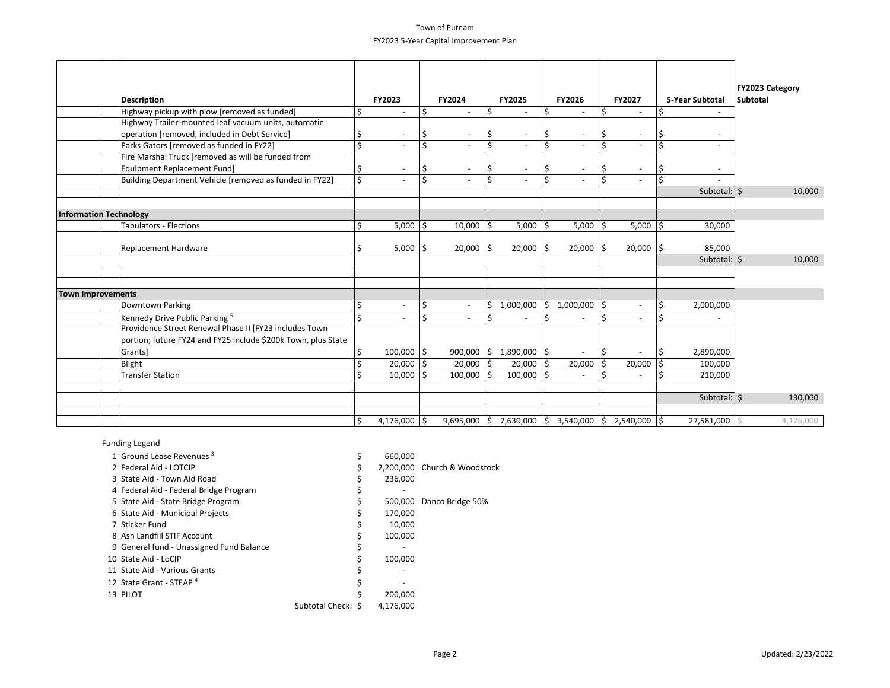#### Town of Putnam FY2023 5-Year Capital Improvement Plan

|                   | <b>Description</b>                                            |    | FY2023          |     | FY2024                   |                  | FY2025                        |     | FY2026                                              |    | FY2027                   |                    | 5-Year Subtotal                | <b>FY2023 Category</b><br><b>Subtotal</b> |
|-------------------|---------------------------------------------------------------|----|-----------------|-----|--------------------------|------------------|-------------------------------|-----|-----------------------------------------------------|----|--------------------------|--------------------|--------------------------------|-------------------------------------------|
|                   | Highway pickup with plow [removed as funded]                  | Ś  |                 | \$، | $\overline{\phantom{a}}$ | \$               |                               | Ś   |                                                     | \$ |                          | Ś                  |                                |                                           |
|                   | Highway Trailer-mounted leaf vacuum units, automatic          |    |                 |     |                          |                  |                               |     |                                                     |    |                          |                    |                                |                                           |
|                   | operation [removed, included in Debt Service]                 | S  |                 | \$  | $\overline{\phantom{a}}$ | \$               | $\overline{\phantom{a}}$      | I\$ | $\overline{\phantom{a}}$                            | \$ | $\overline{\phantom{a}}$ | Ś                  |                                |                                           |
|                   | Parks Gators [removed as funded in FY22]                      | Ś  |                 | \$  | $\sim$                   | $\overline{\xi}$ |                               | \$  | $\sim$                                              | Ś. | $\overline{\phantom{a}}$ | Ś.                 |                                |                                           |
|                   | Fire Marshal Truck [removed as will be funded from            |    |                 |     |                          |                  |                               |     |                                                     |    |                          |                    |                                |                                           |
|                   | <b>Equipment Replacement Fund]</b>                            | \$ |                 | \$  | $\overline{\phantom{a}}$ | \$               |                               | S   | $\overline{\phantom{a}}$                            | \$ | $\overline{\phantom{a}}$ | \$                 |                                |                                           |
|                   | Building Department Vehicle [removed as funded in FY22]       | Ś  |                 | \$  | $\sim$                   | \$               | $\overline{\phantom{a}}$      | l Ś | $\sim$                                              | Ś. | $\overline{a}$           | Ś.                 |                                |                                           |
|                   |                                                               |    |                 |     |                          |                  |                               |     |                                                     |    |                          |                    | Subtotal: $ \hat{\mathsf{S}} $ | 10,000                                    |
|                   |                                                               |    |                 |     |                          |                  |                               |     |                                                     |    |                          |                    |                                |                                           |
|                   | Information Technology                                        |    |                 |     |                          |                  |                               |     |                                                     |    |                          |                    |                                |                                           |
|                   | <b>Tabulators - Elections</b>                                 | Ś. | $5,000$   \$    |     | $10,000$  \$             |                  | $5,000$   \$                  |     | $5,000$ \$                                          |    | 5,000                    | ۱Ś                 | 30,000                         |                                           |
|                   |                                                               |    |                 |     |                          |                  |                               |     |                                                     |    |                          |                    |                                |                                           |
|                   | Replacement Hardware                                          | Ś  | $5,000$  \$     |     | $20,000$  \$             |                  | $20,000$  \$                  |     | $20,000$   \$                                       |    | $20,000$  \$             |                    | 85,000                         |                                           |
|                   |                                                               |    |                 |     |                          |                  |                               |     |                                                     |    |                          |                    | Subtotal: $\frac{1}{5}$        | 10,000                                    |
|                   |                                                               |    |                 |     |                          |                  |                               |     |                                                     |    |                          |                    |                                |                                           |
|                   |                                                               |    |                 |     |                          |                  |                               |     |                                                     |    |                          |                    |                                |                                           |
| Town Improvements |                                                               |    |                 |     |                          |                  |                               |     |                                                     |    |                          |                    |                                |                                           |
|                   | Downtown Parking                                              | Ś  |                 | \$  | $\overline{\phantom{a}}$ | \$               | 1,000,000                     | \$  | 1,000,000                                           | \$ |                          | \$                 | 2,000,000                      |                                           |
|                   | Kennedy Drive Public Parking <sup>5</sup>                     | Ś  |                 | \$  | $\overline{\phantom{a}}$ | \$               |                               | .\$ |                                                     | Ś  |                          | $\mathsf{\hat{S}}$ |                                |                                           |
|                   | Providence Street Renewal Phase II [FY23 includes Town        |    |                 |     |                          |                  |                               |     |                                                     |    |                          |                    |                                |                                           |
|                   | portion; future FY24 and FY25 include \$200k Town, plus State |    |                 |     |                          |                  |                               |     |                                                     |    |                          |                    |                                |                                           |
|                   | Grants]                                                       |    | $100,000$   \$  |     |                          |                  | $900,000$   \$ 1,890,000   \$ |     |                                                     | \$ |                          |                    | 2,890,000                      |                                           |
|                   | Blight                                                        |    | $20,000$  \$    |     | $20,000$  \$             |                  | $20,000$  \$                  |     | $20,000$ \$                                         |    | 20,000                   | Ś.                 | 100,000                        |                                           |
|                   | <b>Transfer Station</b>                                       |    | $10,000$  \$    |     | $100,000$  \$            |                  | $100,000$   \$                |     |                                                     | Ś  | ٠                        |                    | 210,000                        |                                           |
|                   |                                                               |    |                 |     |                          |                  |                               |     |                                                     |    |                          |                    |                                |                                           |
|                   |                                                               |    |                 |     |                          |                  |                               |     |                                                     |    |                          |                    | Subtotal: $ \hat{\mathsf{S}} $ | 130,000                                   |
|                   |                                                               |    |                 |     |                          |                  |                               |     |                                                     |    |                          |                    |                                |                                           |
|                   |                                                               | \$ | 4,176,000 $ \$$ |     |                          |                  | $9,695,000$ \$ 7,630,000 \$   |     | $3,540,000$ $\binom{6}{5}$ 2,540,000 $\binom{6}{5}$ |    |                          |                    | 27,581,000                     | 4,176,000                                 |

#### Funding Legend

| 1 Ground Lease Revenues <sup>3</sup>     |                    | 660,000   |                              |
|------------------------------------------|--------------------|-----------|------------------------------|
| 2 Federal Aid - LOTCIP                   |                    |           | 2,200,000 Church & Woodstock |
| 3 State Aid - Town Aid Road              |                    | 236,000   |                              |
| 4 Federal Aid - Federal Bridge Program   |                    |           |                              |
| 5 State Aid - State Bridge Program       |                    | 500.000   | Danco Bridge 50%             |
| 6 State Aid - Municipal Projects         |                    | 170,000   |                              |
| 7 Sticker Fund                           |                    | 10.000    |                              |
| 8 Ash Landfill STIF Account              |                    | 100,000   |                              |
| 9 General fund - Unassigned Fund Balance |                    |           |                              |
| 10 State Aid - LoCIP                     |                    | 100.000   |                              |
| 11 State Aid - Various Grants            |                    |           |                              |
| 12 State Grant - STEAP <sup>4</sup>      |                    |           |                              |
| 13 PILOT                                 |                    | 200,000   |                              |
|                                          | Subtotal Check: \$ | 4,176,000 |                              |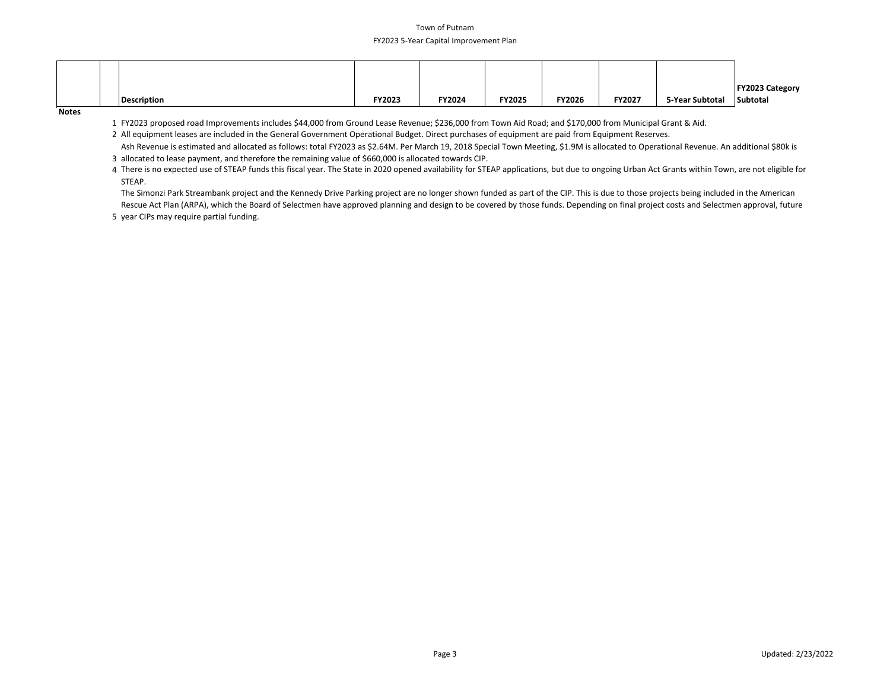#### Town of Putnam FY2023 5-Year Capital Improvement Plan

|             |        |               |               |        |               |                 | <b>FY2023 Category</b> |
|-------------|--------|---------------|---------------|--------|---------------|-----------------|------------------------|
| Description | FY2023 | <b>FY2024</b> | <b>FY2025</b> | FY2026 | <b>FY2027</b> | 5-Year Subtotal | Subtotal               |

**Notes**

1 FY2023 proposed road Improvements includes \$44,000 from Ground Lease Revenue; \$236,000 from Town Aid Road; and \$170,000 from Municipal Grant & Aid.

2 All equipment leases are included in the General Government Operational Budget. Direct purchases of equipment are paid from Equipment Reserves.

3 allocated to lease payment, and therefore the remaining value of \$660,000 is allocated towards CIP. Ash Revenue is estimated and allocated as follows: total FY2023 as \$2.64M. Per March 19, 2018 Special Town Meeting, \$1.9M is allocated to Operational Revenue. An additional \$80k is

4 There is no expected use of STEAP funds this fiscal year. The State in 2020 opened availability for STEAP applications, but due to ongoing Urban Act Grants within Town, are not eligible for STEAP.

The Simonzi Park Streambank project and the Kennedy Drive Parking project are no longer shown funded as part of the CIP. This is due to those projects being included in the American

5 year CIPs may require partial funding. Rescue Act Plan (ARPA), which the Board of Selectmen have approved planning and design to be covered by those funds. Depending on final project costs and Selectmen approval, future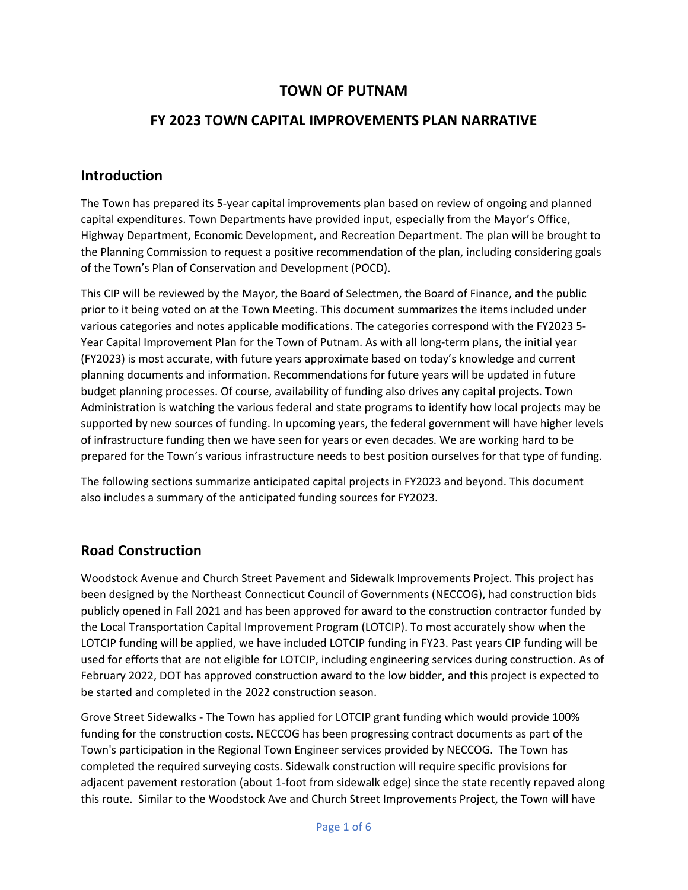## **TOWN OF PUTNAM**

## **FY 2023 TOWN CAPITAL IMPROVEMENTS PLAN NARRATIVE**

#### **Introduction**

The Town has prepared its 5-year capital improvements plan based on review of ongoing and planned capital expenditures. Town Departments have provided input, especially from the Mayor's Office, Highway Department, Economic Development, and Recreation Department. The plan will be brought to the Planning Commission to request a positive recommendation of the plan, including considering goals of the Town's Plan of Conservation and Development (POCD).

This CIP will be reviewed by the Mayor, the Board of Selectmen, the Board of Finance, and the public prior to it being voted on at the Town Meeting. This document summarizes the items included under various categories and notes applicable modifications. The categories correspond with the FY2023 5- Year Capital Improvement Plan for the Town of Putnam. As with all long-term plans, the initial year (FY2023) is most accurate, with future years approximate based on today's knowledge and current planning documents and information. Recommendations for future years will be updated in future budget planning processes. Of course, availability of funding also drives any capital projects. Town Administration is watching the various federal and state programs to identify how local projects may be supported by new sources of funding. In upcoming years, the federal government will have higher levels of infrastructure funding then we have seen for years or even decades. We are working hard to be prepared for the Town's various infrastructure needs to best position ourselves for that type of funding.

The following sections summarize anticipated capital projects in FY2023 and beyond. This document also includes a summary of the anticipated funding sources for FY2023.

## **Road Construction**

Woodstock Avenue and Church Street Pavement and Sidewalk Improvements Project. This project has been designed by the Northeast Connecticut Council of Governments (NECCOG), had construction bids publicly opened in Fall 2021 and has been approved for award to the construction contractor funded by the Local Transportation Capital Improvement Program (LOTCIP). To most accurately show when the LOTCIP funding will be applied, we have included LOTCIP funding in FY23. Past years CIP funding will be used for efforts that are not eligible for LOTCIP, including engineering services during construction. As of February 2022, DOT has approved construction award to the low bidder, and this project is expected to be started and completed in the 2022 construction season.

Grove Street Sidewalks - The Town has applied for LOTCIP grant funding which would provide 100% funding for the construction costs. NECCOG has been progressing contract documents as part of the Town's participation in the Regional Town Engineer services provided by NECCOG. The Town has completed the required surveying costs. Sidewalk construction will require specific provisions for adjacent pavement restoration (about 1-foot from sidewalk edge) since the state recently repaved along this route. Similar to the Woodstock Ave and Church Street Improvements Project, the Town will have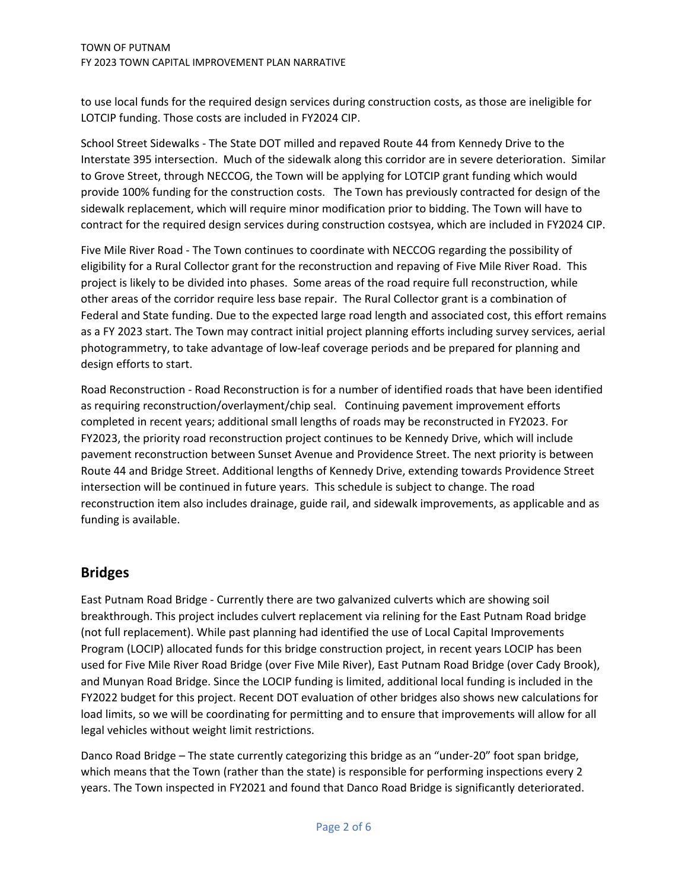to use local funds for the required design services during construction costs, as those are ineligible for LOTCIP funding. Those costs are included in FY2024 CIP.

School Street Sidewalks - The State DOT milled and repaved Route 44 from Kennedy Drive to the Interstate 395 intersection. Much of the sidewalk along this corridor are in severe deterioration. Similar to Grove Street, through NECCOG, the Town will be applying for LOTCIP grant funding which would provide 100% funding for the construction costs. The Town has previously contracted for design of the sidewalk replacement, which will require minor modification prior to bidding. The Town will have to contract for the required design services during construction costsyea, which are included in FY2024 CIP.

Five Mile River Road - The Town continues to coordinate with NECCOG regarding the possibility of eligibility for a Rural Collector grant for the reconstruction and repaving of Five Mile River Road. This project is likely to be divided into phases. Some areas of the road require full reconstruction, while other areas of the corridor require less base repair. The Rural Collector grant is a combination of Federal and State funding. Due to the expected large road length and associated cost, this effort remains as a FY 2023 start. The Town may contract initial project planning efforts including survey services, aerial photogrammetry, to take advantage of low-leaf coverage periods and be prepared for planning and design efforts to start.

Road Reconstruction - Road Reconstruction is for a number of identified roads that have been identified as requiring reconstruction/overlayment/chip seal. Continuing pavement improvement efforts completed in recent years; additional small lengths of roads may be reconstructed in FY2023. For FY2023, the priority road reconstruction project continues to be Kennedy Drive, which will include pavement reconstruction between Sunset Avenue and Providence Street. The next priority is between Route 44 and Bridge Street. Additional lengths of Kennedy Drive, extending towards Providence Street intersection will be continued in future years. This schedule is subject to change. The road reconstruction item also includes drainage, guide rail, and sidewalk improvements, as applicable and as funding is available.

## **Bridges**

East Putnam Road Bridge - Currently there are two galvanized culverts which are showing soil breakthrough. This project includes culvert replacement via relining for the East Putnam Road bridge (not full replacement). While past planning had identified the use of Local Capital Improvements Program (LOCIP) allocated funds for this bridge construction project, in recent years LOCIP has been used for Five Mile River Road Bridge (over Five Mile River), East Putnam Road Bridge (over Cady Brook), and Munyan Road Bridge. Since the LOCIP funding is limited, additional local funding is included in the FY2022 budget for this project. Recent DOT evaluation of other bridges also shows new calculations for load limits, so we will be coordinating for permitting and to ensure that improvements will allow for all legal vehicles without weight limit restrictions.

Danco Road Bridge – The state currently categorizing this bridge as an "under-20" foot span bridge, which means that the Town (rather than the state) is responsible for performing inspections every 2 years. The Town inspected in FY2021 and found that Danco Road Bridge is significantly deteriorated.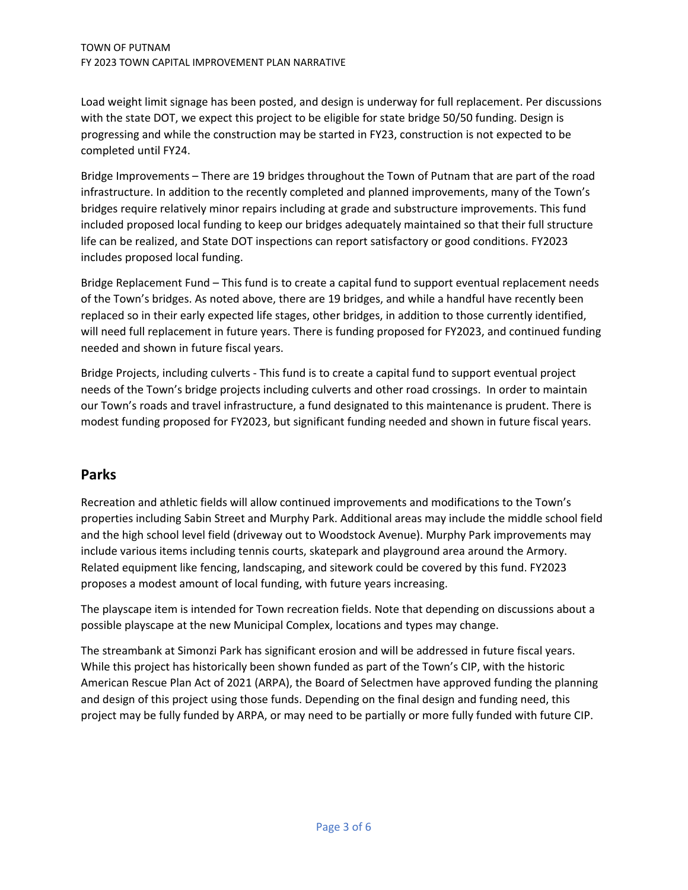Load weight limit signage has been posted, and design is underway for full replacement. Per discussions with the state DOT, we expect this project to be eligible for state bridge 50/50 funding. Design is progressing and while the construction may be started in FY23, construction is not expected to be completed until FY24.

Bridge Improvements – There are 19 bridges throughout the Town of Putnam that are part of the road infrastructure. In addition to the recently completed and planned improvements, many of the Town's bridges require relatively minor repairs including at grade and substructure improvements. This fund included proposed local funding to keep our bridges adequately maintained so that their full structure life can be realized, and State DOT inspections can report satisfactory or good conditions. FY2023 includes proposed local funding.

Bridge Replacement Fund – This fund is to create a capital fund to support eventual replacement needs of the Town's bridges. As noted above, there are 19 bridges, and while a handful have recently been replaced so in their early expected life stages, other bridges, in addition to those currently identified, will need full replacement in future years. There is funding proposed for FY2023, and continued funding needed and shown in future fiscal years.

Bridge Projects, including culverts - This fund is to create a capital fund to support eventual project needs of the Town's bridge projects including culverts and other road crossings. In order to maintain our Town's roads and travel infrastructure, a fund designated to this maintenance is prudent. There is modest funding proposed for FY2023, but significant funding needed and shown in future fiscal years.

## **Parks**

Recreation and athletic fields will allow continued improvements and modifications to the Town's properties including Sabin Street and Murphy Park. Additional areas may include the middle school field and the high school level field (driveway out to Woodstock Avenue). Murphy Park improvements may include various items including tennis courts, skatepark and playground area around the Armory. Related equipment like fencing, landscaping, and sitework could be covered by this fund. FY2023 proposes a modest amount of local funding, with future years increasing.

The playscape item is intended for Town recreation fields. Note that depending on discussions about a possible playscape at the new Municipal Complex, locations and types may change.

The streambank at Simonzi Park has significant erosion and will be addressed in future fiscal years. While this project has historically been shown funded as part of the Town's CIP, with the historic American Rescue Plan Act of 2021 (ARPA), the Board of Selectmen have approved funding the planning and design of this project using those funds. Depending on the final design and funding need, this project may be fully funded by ARPA, or may need to be partially or more fully funded with future CIP.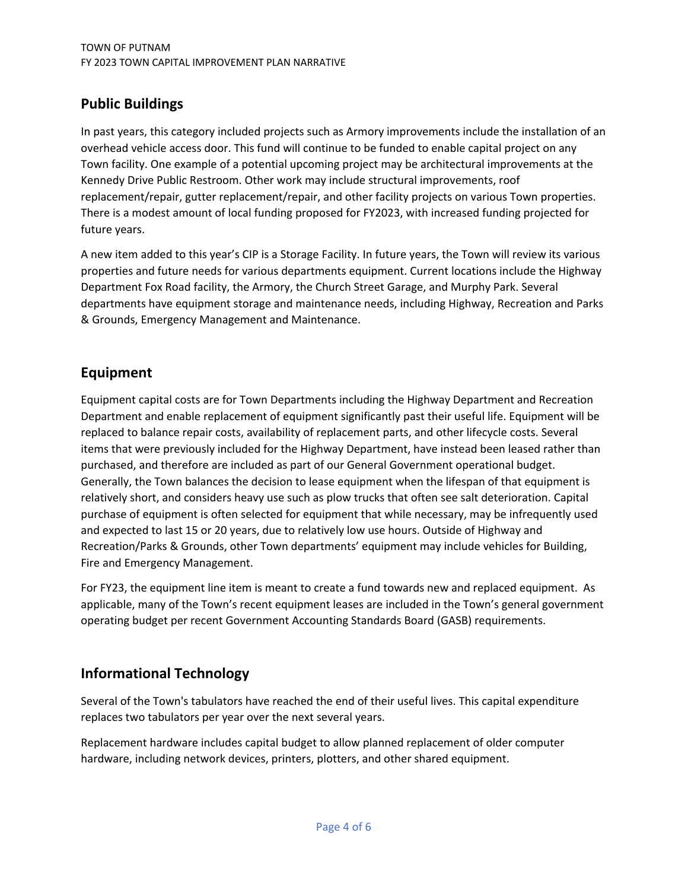# **Public Buildings**

In past years, this category included projects such as Armory improvements include the installation of an overhead vehicle access door. This fund will continue to be funded to enable capital project on any Town facility. One example of a potential upcoming project may be architectural improvements at the Kennedy Drive Public Restroom. Other work may include structural improvements, roof replacement/repair, gutter replacement/repair, and other facility projects on various Town properties. There is a modest amount of local funding proposed for FY2023, with increased funding projected for future years.

A new item added to this year's CIP is a Storage Facility. In future years, the Town will review its various properties and future needs for various departments equipment. Current locations include the Highway Department Fox Road facility, the Armory, the Church Street Garage, and Murphy Park. Several departments have equipment storage and maintenance needs, including Highway, Recreation and Parks & Grounds, Emergency Management and Maintenance.

# **Equipment**

Equipment capital costs are for Town Departments including the Highway Department and Recreation Department and enable replacement of equipment significantly past their useful life. Equipment will be replaced to balance repair costs, availability of replacement parts, and other lifecycle costs. Several items that were previously included for the Highway Department, have instead been leased rather than purchased, and therefore are included as part of our General Government operational budget. Generally, the Town balances the decision to lease equipment when the lifespan of that equipment is relatively short, and considers heavy use such as plow trucks that often see salt deterioration. Capital purchase of equipment is often selected for equipment that while necessary, may be infrequently used and expected to last 15 or 20 years, due to relatively low use hours. Outside of Highway and Recreation/Parks & Grounds, other Town departments' equipment may include vehicles for Building, Fire and Emergency Management.

For FY23, the equipment line item is meant to create a fund towards new and replaced equipment. As applicable, many of the Town's recent equipment leases are included in the Town's general government operating budget per recent Government Accounting Standards Board (GASB) requirements.

# **Informational Technology**

Several of the Town's tabulators have reached the end of their useful lives. This capital expenditure replaces two tabulators per year over the next several years.

Replacement hardware includes capital budget to allow planned replacement of older computer hardware, including network devices, printers, plotters, and other shared equipment.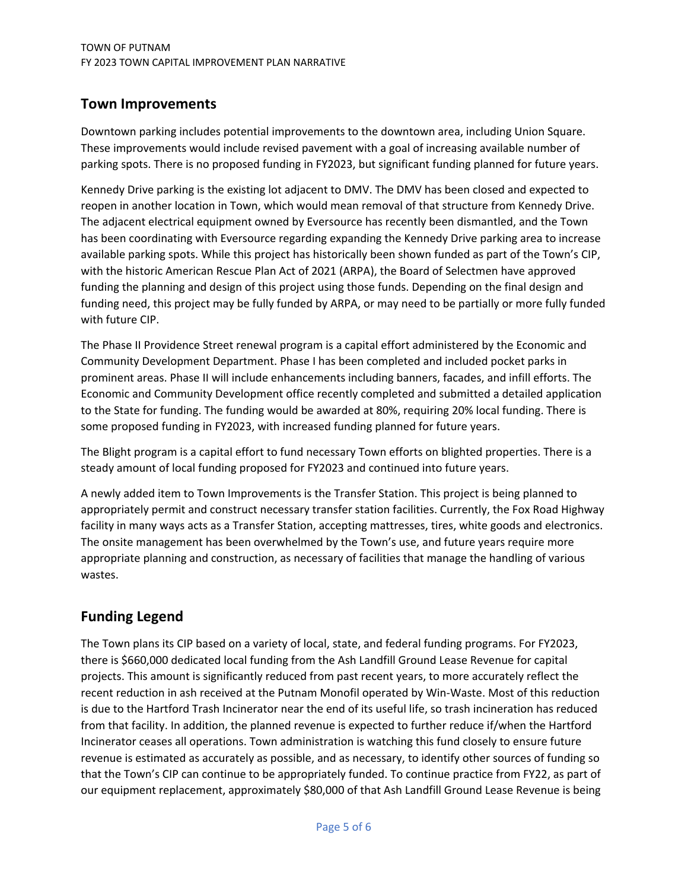## **Town Improvements**

Downtown parking includes potential improvements to the downtown area, including Union Square. These improvements would include revised pavement with a goal of increasing available number of parking spots. There is no proposed funding in FY2023, but significant funding planned for future years.

Kennedy Drive parking is the existing lot adjacent to DMV. The DMV has been closed and expected to reopen in another location in Town, which would mean removal of that structure from Kennedy Drive. The adjacent electrical equipment owned by Eversource has recently been dismantled, and the Town has been coordinating with Eversource regarding expanding the Kennedy Drive parking area to increase available parking spots. While this project has historically been shown funded as part of the Town's CIP, with the historic American Rescue Plan Act of 2021 (ARPA), the Board of Selectmen have approved funding the planning and design of this project using those funds. Depending on the final design and funding need, this project may be fully funded by ARPA, or may need to be partially or more fully funded with future CIP.

The Phase II Providence Street renewal program is a capital effort administered by the Economic and Community Development Department. Phase I has been completed and included pocket parks in prominent areas. Phase II will include enhancements including banners, facades, and infill efforts. The Economic and Community Development office recently completed and submitted a detailed application to the State for funding. The funding would be awarded at 80%, requiring 20% local funding. There is some proposed funding in FY2023, with increased funding planned for future years.

The Blight program is a capital effort to fund necessary Town efforts on blighted properties. There is a steady amount of local funding proposed for FY2023 and continued into future years.

A newly added item to Town Improvements is the Transfer Station. This project is being planned to appropriately permit and construct necessary transfer station facilities. Currently, the Fox Road Highway facility in many ways acts as a Transfer Station, accepting mattresses, tires, white goods and electronics. The onsite management has been overwhelmed by the Town's use, and future years require more appropriate planning and construction, as necessary of facilities that manage the handling of various wastes.

# **Funding Legend**

The Town plans its CIP based on a variety of local, state, and federal funding programs. For FY2023, there is \$660,000 dedicated local funding from the Ash Landfill Ground Lease Revenue for capital projects. This amount is significantly reduced from past recent years, to more accurately reflect the recent reduction in ash received at the Putnam Monofil operated by Win-Waste. Most of this reduction is due to the Hartford Trash Incinerator near the end of its useful life, so trash incineration has reduced from that facility. In addition, the planned revenue is expected to further reduce if/when the Hartford Incinerator ceases all operations. Town administration is watching this fund closely to ensure future revenue is estimated as accurately as possible, and as necessary, to identify other sources of funding so that the Town's CIP can continue to be appropriately funded. To continue practice from FY22, as part of our equipment replacement, approximately \$80,000 of that Ash Landfill Ground Lease Revenue is being